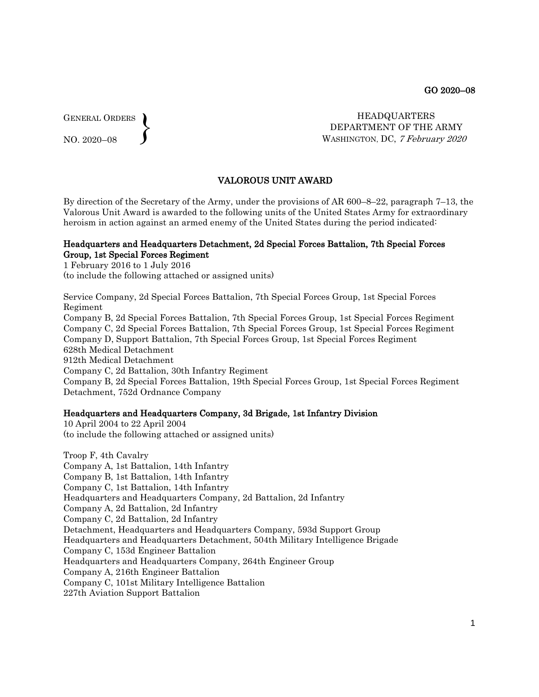GENERAL ORDERS  $\left\{ \right\}$ 

NO. 2020–08

 HEADQUARTERS DEPARTMENT OF THE ARMY WASHINGTON, DC, 7 February 2020

### VALOROUS UNIT AWARD

By direction of the Secretary of the Army, under the provisions of AR 600–8–22, paragraph 7–13, the Valorous Unit Award is awarded to the following units of the United States Army for extraordinary heroism in action against an armed enemy of the United States during the period indicated:

#### Headquarters and Headquarters Detachment, 2d Special Forces Battalion, 7th Special Forces Group, 1st Special Forces Regiment

1 February 2016 to 1 July 2016 (to include the following attached or assigned units)

Service Company, 2d Special Forces Battalion, 7th Special Forces Group, 1st Special Forces Regiment Company B, 2d Special Forces Battalion, 7th Special Forces Group, 1st Special Forces Regiment Company C, 2d Special Forces Battalion, 7th Special Forces Group, 1st Special Forces Regiment Company D, Support Battalion, 7th Special Forces Group, 1st Special Forces Regiment 628th Medical Detachment 912th Medical Detachment Company C, 2d Battalion, 30th Infantry Regiment Company B, 2d Special Forces Battalion, 19th Special Forces Group, 1st Special Forces Regiment Detachment, 752d Ordnance Company

### Headquarters and Headquarters Company, 3d Brigade, 1st Infantry Division

10 April 2004 to 22 April 2004 (to include the following attached or assigned units)

Troop F, 4th Cavalry Company A, 1st Battalion, 14th Infantry Company B, 1st Battalion, 14th Infantry Company C, 1st Battalion, 14th Infantry Headquarters and Headquarters Company, 2d Battalion, 2d Infantry Company A, 2d Battalion, 2d Infantry Company C, 2d Battalion, 2d Infantry Detachment, Headquarters and Headquarters Company, 593d Support Group Headquarters and Headquarters Detachment, 504th Military Intelligence Brigade Company C, 153d Engineer Battalion Headquarters and Headquarters Company, 264th Engineer Group Company A, 216th Engineer Battalion Company C, 101st Military Intelligence Battalion 227th Aviation Support Battalion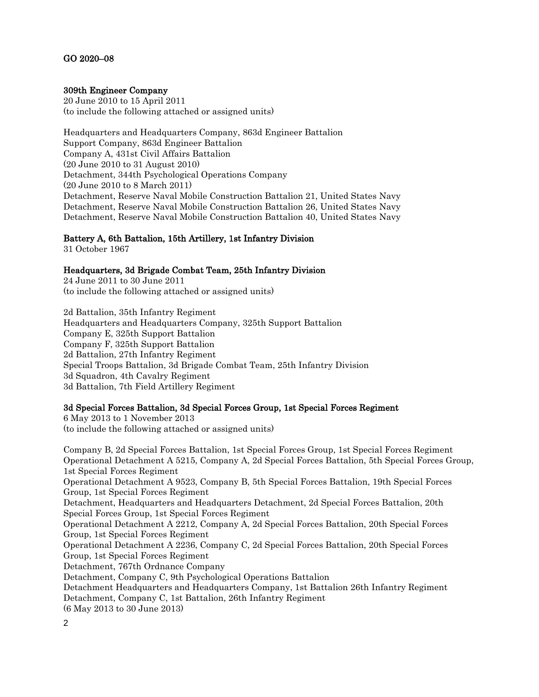# GO 2020–08

## 309th Engineer Company

20 June 2010 to 15 April 2011 (to include the following attached or assigned units)

Headquarters and Headquarters Company, 863d Engineer Battalion Support Company, 863d Engineer Battalion Company A, 431st Civil Affairs Battalion (20 June 2010 to 31 August 2010) Detachment, 344th Psychological Operations Company (20 June 2010 to 8 March 2011) Detachment, Reserve Naval Mobile Construction Battalion 21, United States Navy Detachment, Reserve Naval Mobile Construction Battalion 26, United States Navy Detachment, Reserve Naval Mobile Construction Battalion 40, United States Navy

## Battery A, 6th Battalion, 15th Artillery, 1st Infantry Division

31 October 1967

### Headquarters, 3d Brigade Combat Team, 25th Infantry Division

24 June 2011 to 30 June 2011 (to include the following attached or assigned units)

2d Battalion, 35th Infantry Regiment Headquarters and Headquarters Company, 325th Support Battalion Company E, 325th Support Battalion Company F, 325th Support Battalion 2d Battalion, 27th Infantry Regiment Special Troops Battalion, 3d Brigade Combat Team, 25th Infantry Division 3d Squadron, 4th Cavalry Regiment 3d Battalion, 7th Field Artillery Regiment

### 3d Special Forces Battalion, 3d Special Forces Group, 1st Special Forces Regiment

6 May 2013 to 1 November 2013 (to include the following attached or assigned units)

Company B, 2d Special Forces Battalion, 1st Special Forces Group, 1st Special Forces Regiment Operational Detachment A 5215, Company A, 2d Special Forces Battalion, 5th Special Forces Group, 1st Special Forces Regiment Operational Detachment A 9523, Company B, 5th Special Forces Battalion, 19th Special Forces Group, 1st Special Forces Regiment Detachment, Headquarters and Headquarters Detachment, 2d Special Forces Battalion, 20th Special Forces Group, 1st Special Forces Regiment Operational Detachment A 2212, Company A, 2d Special Forces Battalion, 20th Special Forces Group, 1st Special Forces Regiment Operational Detachment A 2236, Company C, 2d Special Forces Battalion, 20th Special Forces Group, 1st Special Forces Regiment Detachment, 767th Ordnance Company Detachment, Company C, 9th Psychological Operations Battalion Detachment Headquarters and Headquarters Company, 1st Battalion 26th Infantry Regiment Detachment, Company C, 1st Battalion, 26th Infantry Regiment

(6 May 2013 to 30 June 2013)